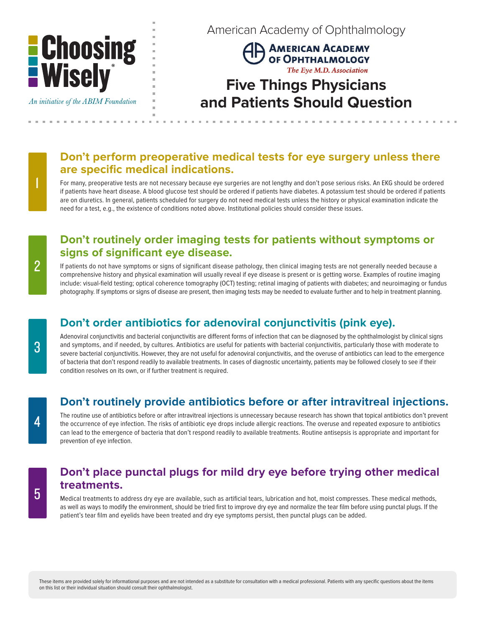

An initiative of the ABIM Foundation

American Academy of Ophthalmology

AMERICAN ACADEMY OF OPHTHALMOLOGY The Eye M.D. Association

# **Five Things Physicians and Patients Should Question**

. . . . . . . . . .

### **Don't perform preoperative medical tests for eye surgery unless there are specific medical indications.**

For many, preoperative tests are not necessary because eye surgeries are not lengthy and don't pose serious risks. An EKG should be ordered if patients have heart disease. A blood glucose test should be ordered if patients have diabetes. A potassium test should be ordered if patients are on diuretics. In general, patients scheduled for surgery do not need medical tests unless the history or physical examination indicate the need for a test, e.g., the existence of conditions noted above. Institutional policies should consider these issues.

#### **Don't routinely order imaging tests for patients without symptoms or signs of significant eye disease.**

If patients do not have symptoms or signs of significant disease pathology, then clinical imaging tests are not generally needed because a comprehensive history and physical examination will usually reveal if eye disease is present or is getting worse. Examples of routine imaging include: visual-field testing; optical coherence tomography (OCT) testing; retinal imaging of patients with diabetes; and neuroimaging or fundus photography. If symptoms or signs of disease are present, then imaging tests may be needed to evaluate further and to help in treatment planning.

## **Don't order antibiotics for adenoviral conjunctivitis (pink eye).**

Adenoviral conjunctivitis and bacterial conjunctivitis are different forms of infection that can be diagnosed by the ophthalmologist by clinical signs and symptoms, and if needed, by cultures. Antibiotics are useful for patients with bacterial conjunctivitis, particularly those with moderate to severe bacterial conjunctivitis. However, they are not useful for adenoviral conjunctivitis, and the overuse of antibiotics can lead to the emergence of bacteria that don't respond readily to available treatments. In cases of diagnostic uncertainty, patients may be followed closely to see if their condition resolves on its own, or if further treatment is required.

## **Don't routinely provide antibiotics before or after intravitreal injections.**

The routine use of antibiotics before or after intravitreal injections is unnecessary because research has shown that topical antibiotics don't prevent the occurrence of eye infection. The risks of antibiotic eye drops include allergic reactions. The overuse and repeated exposure to antibiotics can lead to the emergence of bacteria that don't respond readily to available treatments. Routine antisepsis is appropriate and important for prevention of eye infection.

#### **Don't place punctal plugs for mild dry eye before trying other medical treatments.**

Medical treatments to address dry eye are available, such as artificial tears, lubrication and hot, moist compresses. These medical methods, as well as ways to modify the environment, should be tried first to improve dry eye and normalize the tear film before using punctal plugs. If the patient's tear film and eyelids have been treated and dry eye symptoms persist, then punctal plugs can be added.

These items are provided solely for informational purposes and are not intended as a substitute for consultation with a medical professional. Patients with any specific questions about the items on this list or their individual situation should consult their ophthalmologist.

2

1

5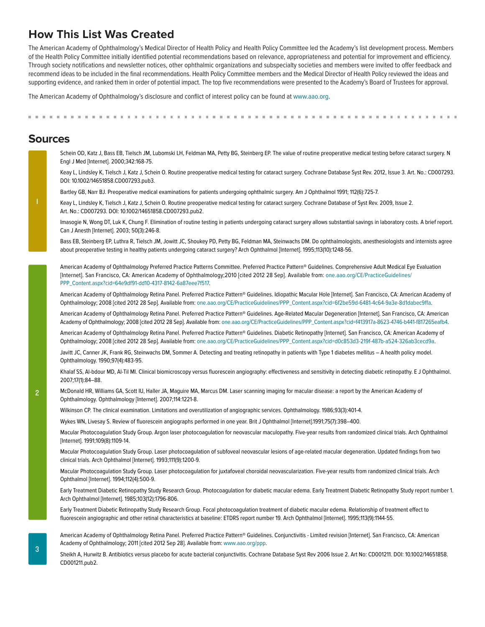### **How This List Was Created**

The American Academy of Ophthalmology's Medical Director of Health Policy and Health Policy Committee led the Academy's list development process. Members of the Health Policy Committee initially identified potential recommendations based on relevance, appropriateness and potential for improvement and efficiency. Through society notifications and newsletter notices, other ophthalmic organizations and subspecialty societies and members were invited to offer feedback and recommend ideas to be included in the final recommendations. Health Policy Committee members and the Medical Director of Health Policy reviewed the ideas and supporting evidence, and ranked them in order of potential impact. The top five recommendations were presented to the Academy's Board of Trustees for approval.

The American Academy of Ophthalmology's disclosure and conflict of interest policy can be found at www.aao.org.

#### **Sources**

Schein OD, Katz J, Bass EB, Tielsch JM, Lubomski LH, Feldman MA, Petty BG, Steinberg EP. The value of routine preoperative medical testing before cataract surgery. N Engl J Med [Internet]. 2000;342:168-75. Keay L, Lindsley K, Tielsch J, Katz J, Schein O. Routine preoperative medical testing for cataract surgery. Cochrane Database Syst Rev. 2012, Issue 3. Art. No.: CD007293. DOI: 10.1002/14651858.CD007293.pub3. Bartley GB, Narr BJ. Preoperative medical examinations for patients undergoing ophthalmic surgery. Am J Ophthalmol 1991; 112(6):725-7. Keay L, Lindsley K, Tielsch J, Katz J, Schein O. Routine preoperative medical testing for cataract surgery. Cochrane Database of Syst Rev. 2009, Issue 2. Art. No.: CD007293. DOI: 10.1002/14651858.CD007293.pub2. Imasogie N, Wong DT, Luk K, Chung F. Elimination of routine testing in patients undergoing cataract surgery allows substantial savings in laboratory costs. A brief report. Can J Anesth [Internet]. 2003; 50(3):246-8. Bass EB, Steinberg EP, Luthra R, Tielsch JM, Jowitt JC, Shoukey PD, Petty BG, Feldman MA, Steinwachs DM. Do ophthalmologists, anesthesiologists and internists agree about preoperative testing in healthy patients undergoing cataract surgery? Arch Ophthalmol [Internet]. 1995;113(10):1248-56. American Academy of Ophthalmology Preferred Practice Patterns Committee. Preferred Practice Pattern® Guidelines. Comprehensive Adult Medical Eye Evaluation [Internet]. San Francisco, CA: American Academy of Ophthalmology;2010 [cited 2012 28 Sep]. Available from: one.aao.org/CE/PracticeGuidelines/ PPP\_Content.aspx?cid=64e9df91-dd10-4317-8142-6a87eee7f517. American Academy of Ophthalmology Retina Panel. Preferred Practice Pattern® Guidelines. Idiopathic Macular Hole [Internet]. San Francisco, CA: American Academy of Ophthalmology; 2008 [cited 2012 28 Sep]. Available from: one.aao.org/CE/PracticeGuidelines/PPP\_Content.aspx?cid=6f2be59d-6481-4c64-9a3e-8d1dabec9ffa. American Academy of Ophthalmology Retina Panel. Preferred Practice Pattern® Guidelines. Age-Related Macular Degeneration [Internet]. San Francisco, CA: American Academy of Ophthalmology; 2008 [cited 2012 28 Sep]. Available from: one.aao.org/CE/PracticeGuidelines/PPP\_Content.aspx?cid=f413917a-8623-4746-b441-f817265eafb4. American Academy of Ophthalmology Retina Panel. Preferred Practice Pattern® Guidelines. Diabetic Retinopathy [Internet]. San Francisco, CA: American Academy of Ophthalmology; 2008 [cited 2012 28 Sep]. Available from: one.aao.org/CE/PracticeGuidelines/PPP\_Content.aspx?cid=d0c853d3-219f-487b-a524-326ab3cecd9a. Javitt JC, Canner JK, Frank RG, Steinwachs DM, Sommer A. Detecting and treating retinopathy in patients with Type 1 diabetes mellitus - A health policy model. Ophthalmology. 1990;97(4):483-95. Khalaf SS, Al-bdour MD, Al-Til MI. Clinical biomicroscopy versus fluorescein angiography: effectiveness and sensitivity in detecting diabetic retinopathy. E J Ophthalmol. 2007;17(1):84–88. McDonald HR, Williams GA, Scott IU, Haller JA, Maguire MA, Marcus DM. Laser scanning imaging for macular disease: a report by the American Academy of Ophthalmology. Ophthalmology [Internet]. 2007;114:1221-8. Wilkinson CP. The clinical examination. Limitations and overutilization of angiographic services. Ophthalmology. 1986;93(3):401-4. Wykes WN, Livesay S. Review of fluorescein angiographs performed in one year. Brit J Ophthalmol [Internet].1991;75(7):398–400. Macular Photocoagulation Study Group. Argon laser photocoagulation for neovascular maculopathy. Five-year results from randomized clinical trials. Arch Ophthalmol [Internet]. 1991;109(8):1109-14. Macular Photocoagulation Study Group. Laser photocoagulation of subfoveal neovascular lesions of age-related macular degeneration. Updated findings from two clinical trials. Arch Ophthalmol [Internet]. 1993;111(9):1200-9. Macular Photocoagulation Study Group. Laser photocoagulation for juxtafoveal choroidal neovascularization. Five-year results from randomized clinical trials. Arch Ophthalmol [Internet]. 1994;112(4):500-9. Early Treatment Diabetic Retinopathy Study Research Group. Photocoagulation for diabetic macular edema. Early Treatment Diabetic Retinopathy Study report number 1. Arch Ophthalmol [Internet]. 1985;103(12):1796-806. Early Treatment Diabetic Retinopathy Study Research Group. Focal photocoagulation treatment of diabetic macular edema. Relationship of treatment effect to fluorescein angiographic and other retinal characteristics at baseline: ETDRS report number 19. Arch Ophthalmol [Internet]. 1995;113(9):1144-55. American Academy of Ophthalmology Retina Panel. Preferred Practice Pattern® Guidelines. Conjunctivitis - Limited revision [Internet]. San Francisco, CA: American Academy of Ophthalmology; 2011 [cited 2012 Sep 28]. Available from: www.aao.org/ppp. Sheikh A, Hurwitz B. Antibiotics versus placebo for acute bacterial conjunctivitis. Cochrane Database Syst Rev 2006 Issue 2. Art No: CD001211. DOI: 10.1002/14651858.

2

CD001211.pub2.